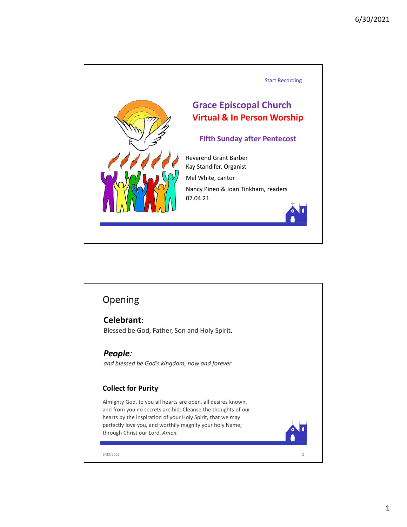

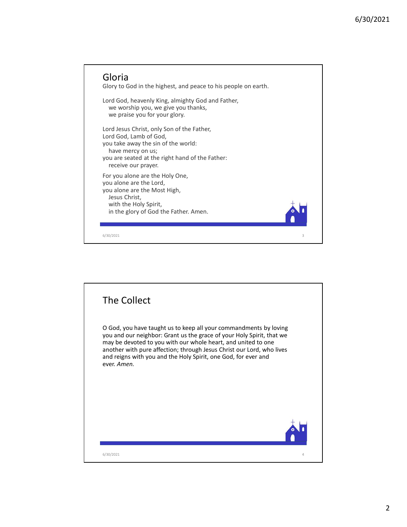

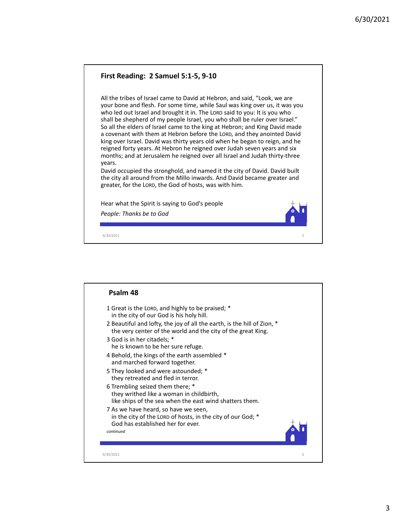

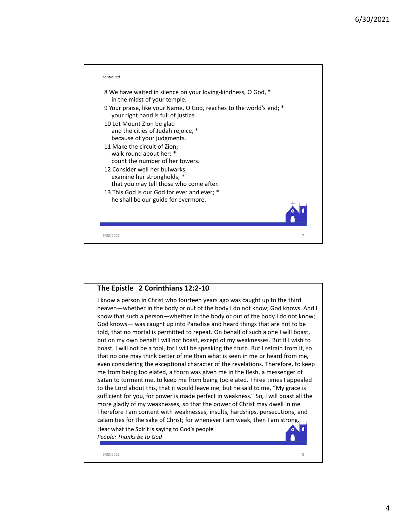

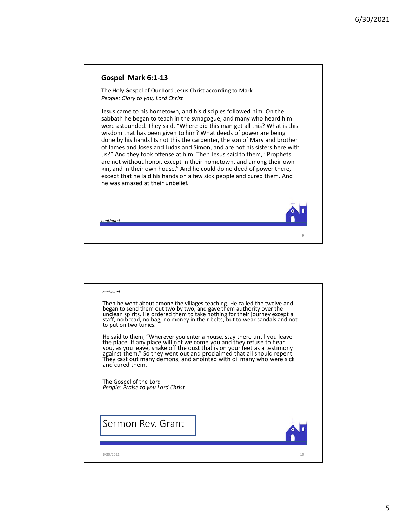9

## Gospel Mark 6:1-13

The Holy Gospel of Our Lord Jesus Christ according to Mark People: Glory to you, Lord Christ

Jesus came to his hometown, and his disciples followed him. On the sabbath he began to teach in the synagogue, and many who heard him were astounded. They said, "Where did this man get all this? What is this wisdom that has been given to him? What deeds of power are being done by his hands! Is not this the carpenter, the son of Mary and brother **Gospel Mark 6:1-13**<br>The Holy Gospel of Our Lord Jesus Christ according to Mark<br>People: Glory to you, Lord Christ<br>Jesus came to his hometeom, and his disciples followed him. On the<br>Jesus came to his hometeom, and his disc us?" And they took offense at him. Then Jesus said to them, "Prophets are not without honor, except in their hometown, and among their own kin, and in their own house." And he could do no deed of power there, except that he laid his hands on a few sick people and cured them. And he was amazed at their unbelief.

continued

| continued                                                                                                                                                                                                                                                        |
|------------------------------------------------------------------------------------------------------------------------------------------------------------------------------------------------------------------------------------------------------------------|
| Then he went about among the villages teaching. He called the twelve and<br>began to send them out two by two, and gave them authority over the<br>unclean spirits. He ordered them to take nothing for their journey except a<br>staff<br>to put on two tunics. |
| He said to them, "Wherever you enter a house, stay there until you leave<br>the place. If any place will not welcome you and they refuse to hear<br>you, as you leave, shake off the dust that is on your feet as a testimony<br>agains<br>and cured them.       |
| The Gospel of the Lord<br>People: Praise to you Lord Christ                                                                                                                                                                                                      |
| Sermon Rev. Grant                                                                                                                                                                                                                                                |
| 10<br>6/30/2021                                                                                                                                                                                                                                                  |
|                                                                                                                                                                                                                                                                  |
|                                                                                                                                                                                                                                                                  |
|                                                                                                                                                                                                                                                                  |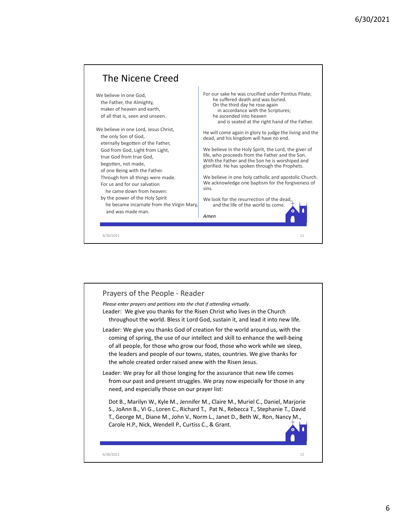

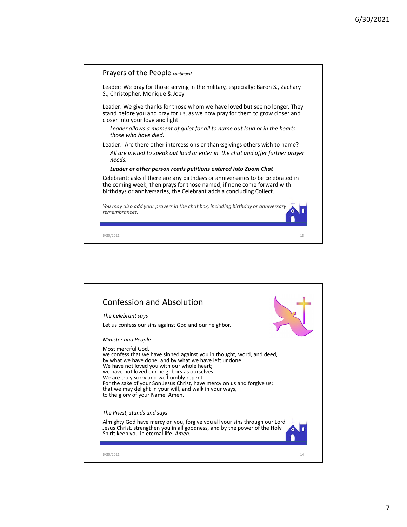

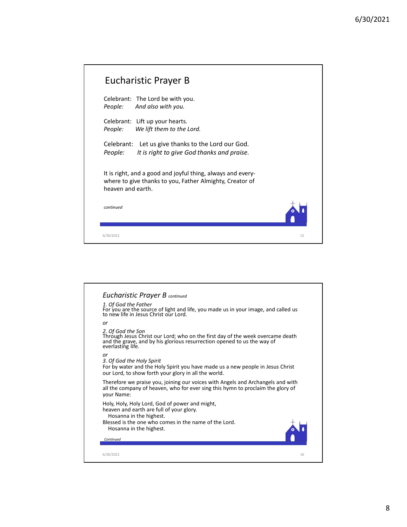|                                                                                                                                              |    | 6/30/2021 |
|----------------------------------------------------------------------------------------------------------------------------------------------|----|-----------|
|                                                                                                                                              |    |           |
|                                                                                                                                              |    |           |
| <b>Eucharistic Prayer B</b>                                                                                                                  |    |           |
| Celebrant: The Lord be with you.<br>And also with you.<br>People:                                                                            |    |           |
| Celebrant: Lift up your hearts.<br>We lift them to the Lord.<br>People:                                                                      |    |           |
| Celebrant: Let us give thanks to the Lord our God.<br>People:<br>It is right to give God thanks and praise.                                  |    |           |
| It is right, and a good and joyful thing, always and every-<br>where to give thanks to you, Father Almighty, Creator of<br>heaven and earth. |    |           |
| continued                                                                                                                                    |    |           |
| 6/30/2021                                                                                                                                    | 15 |           |

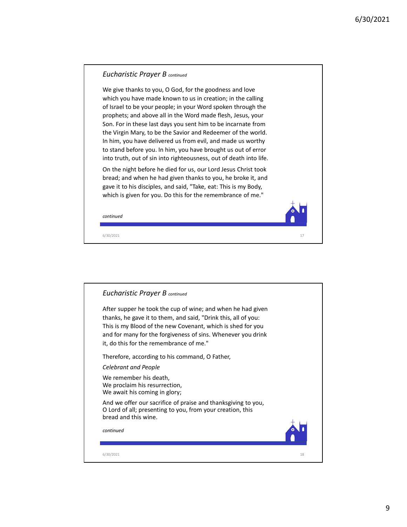

![](_page_8_Picture_2.jpeg)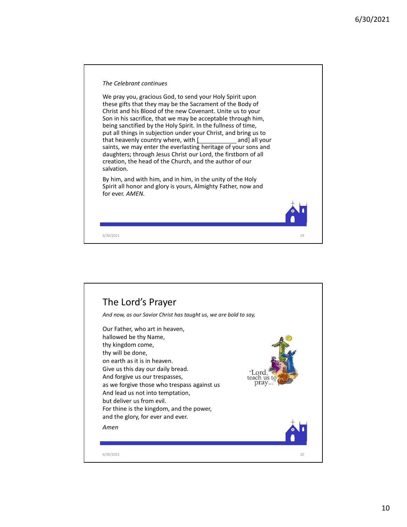![](_page_9_Picture_1.jpeg)

![](_page_9_Picture_2.jpeg)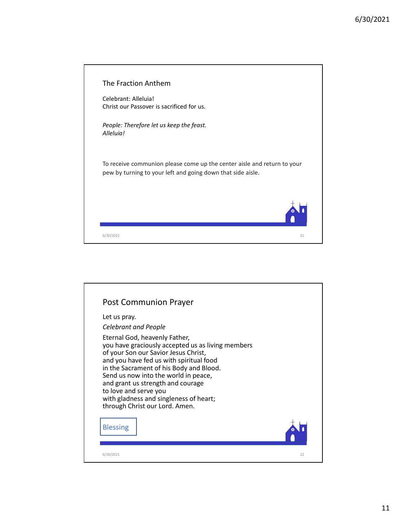| The Fraction Anthem                                                                                                                    |  |
|----------------------------------------------------------------------------------------------------------------------------------------|--|
| Celebrant: Alleluia!<br>Christ our Passover is sacrificed for us.                                                                      |  |
| People: Therefore let us keep the feast.<br>Alleluia!                                                                                  |  |
| To receive communion please come up the center aisle and return to your<br>pew by turning to your left and going down that side aisle. |  |
|                                                                                                                                        |  |
| 21<br>6/30/2021                                                                                                                        |  |
|                                                                                                                                        |  |
|                                                                                                                                        |  |
|                                                                                                                                        |  |

![](_page_10_Picture_2.jpeg)